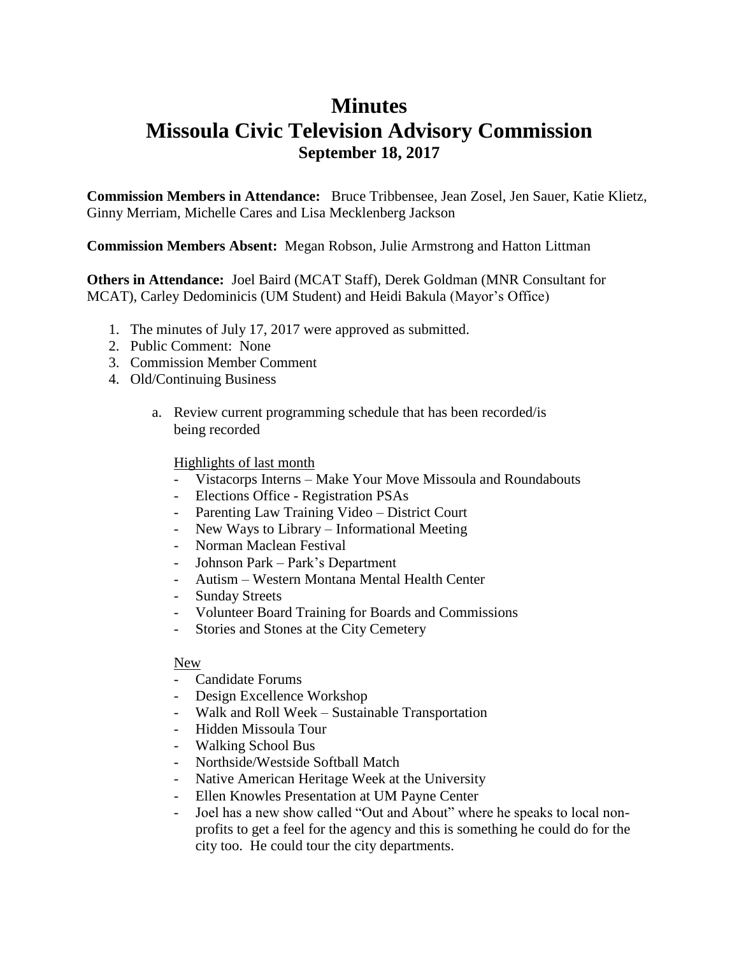## **Minutes Missoula Civic Television Advisory Commission September 18, 2017**

**Commission Members in Attendance:** Bruce Tribbensee, Jean Zosel, Jen Sauer, Katie Klietz, Ginny Merriam, Michelle Cares and Lisa Mecklenberg Jackson

**Commission Members Absent:** Megan Robson, Julie Armstrong and Hatton Littman

**Others in Attendance:** Joel Baird (MCAT Staff), Derek Goldman (MNR Consultant for MCAT), Carley Dedominicis (UM Student) and Heidi Bakula (Mayor's Office)

- 1. The minutes of July 17, 2017 were approved as submitted.
- 2. Public Comment: None
- 3. Commission Member Comment
- 4. Old/Continuing Business
	- a. Review current programming schedule that has been recorded/is being recorded

## Highlights of last month

- Vistacorps Interns Make Your Move Missoula and Roundabouts
- Elections Office Registration PSAs
- Parenting Law Training Video District Court
- New Ways to Library Informational Meeting
- Norman Maclean Festival
- Johnson Park Park's Department
- Autism Western Montana Mental Health Center
- Sunday Streets
- Volunteer Board Training for Boards and Commissions
- Stories and Stones at the City Cemetery

## New

- Candidate Forums
- Design Excellence Workshop
- Walk and Roll Week Sustainable Transportation
- Hidden Missoula Tour
- Walking School Bus
- Northside/Westside Softball Match
- Native American Heritage Week at the University
- Ellen Knowles Presentation at UM Payne Center
- Joel has a new show called "Out and About" where he speaks to local nonprofits to get a feel for the agency and this is something he could do for the city too. He could tour the city departments.